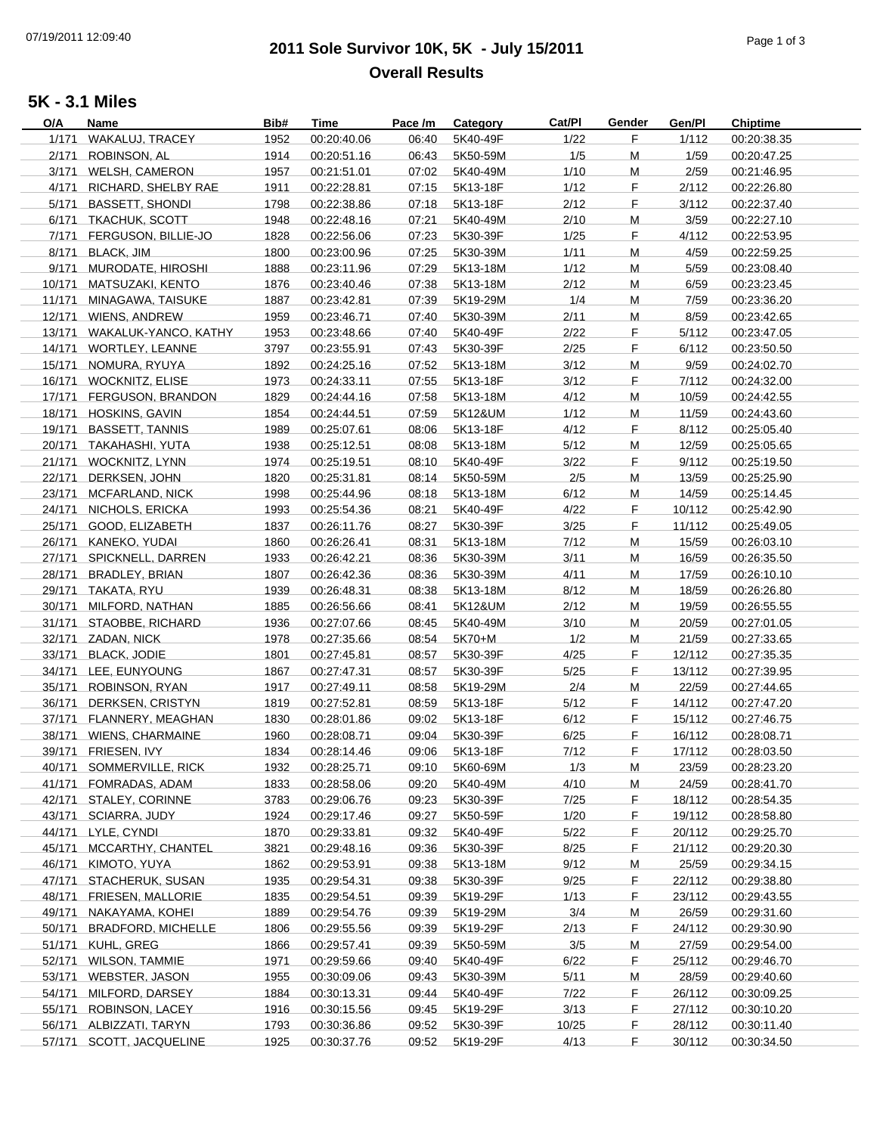# **2011 Sole Survivor 10K, 5K - July 15/2011** 07/19/2011 12:09:40 Page 1 of 3 **Overall Results**

### **5K - 3.1 Miles**

| O/A    | Name                        | Bib# | Time        | Pace /m | Category | Cat/Pl | Gender | Gen/Pl | <b>Chiptime</b> |
|--------|-----------------------------|------|-------------|---------|----------|--------|--------|--------|-----------------|
|        | 1/171 WAKALUJ, TRACEY       | 1952 | 00:20:40.06 | 06:40   | 5K40-49F | 1/22   | F      | 1/112  | 00:20:38.35     |
| 2/171  | ROBINSON, AL                | 1914 | 00:20:51.16 | 06:43   | 5K50-59M | 1/5    | M      | 1/59   | 00:20:47.25     |
|        | 3/171 WELSH, CAMERON        | 1957 | 00:21:51.01 | 07:02   | 5K40-49M | 1/10   | M      | 2/59   | 00:21:46.95     |
| 4/171  | RICHARD, SHELBY RAE         | 1911 | 00:22:28.81 | 07:15   | 5K13-18F | 1/12   | F.     | 2/112  | 00:22:26.80     |
| 5/171  | <b>BASSETT, SHONDI</b>      | 1798 | 00:22:38.86 | 07:18   | 5K13-18F | 2/12   | F      | 3/112  | 00:22:37.40     |
|        | 6/171 TKACHUK, SCOTT        | 1948 | 00:22:48.16 | 07:21   | 5K40-49M | 2/10   | M      | 3/59   | 00:22:27.10     |
|        | 7/171 FERGUSON, BILLIE-JO   | 1828 | 00:22:56.06 | 07:23   | 5K30-39F | 1/25   | F      | 4/112  | 00:22:53.95     |
|        |                             |      |             |         |          |        |        |        |                 |
| 8/171  | <b>BLACK, JIM</b>           | 1800 | 00:23:00.96 | 07:25   | 5K30-39M | 1/11   | M      | 4/59   | 00:22:59.25     |
|        | 9/171 MURODATE, HIROSHI     | 1888 | 00:23:11.96 | 07:29   | 5K13-18M | 1/12   | М      | 5/59   | 00:23:08.40     |
|        | 10/171 MATSUZAKI, KENTO     | 1876 | 00:23:40.46 | 07:38   | 5K13-18M | 2/12   | M      | 6/59   | 00:23:23.45     |
|        | 11/171 MINAGAWA, TAISUKE    | 1887 | 00:23:42.81 | 07:39   | 5K19-29M | 1/4    | M      | 7/59   | 00:23:36.20     |
|        | 12/171 WIENS, ANDREW        | 1959 | 00:23:46.71 | 07:40   | 5K30-39M | 2/11   | M      | 8/59   | 00:23:42.65     |
|        | 13/171 WAKALUK-YANCO, KATHY | 1953 | 00:23:48.66 | 07:40   | 5K40-49F | 2/22   | F      | 5/112  | 00:23:47.05     |
|        | 14/171 WORTLEY, LEANNE      | 3797 | 00:23:55.91 | 07:43   | 5K30-39F | 2/25   | F      | 6/112  | 00:23:50.50     |
|        | 15/171 NOMURA, RYUYA        | 1892 | 00:24:25.16 | 07:52   | 5K13-18M | 3/12   | M      | 9/59   | 00:24:02.70     |
|        | 16/171 WOCKNITZ, ELISE      | 1973 | 00:24:33.11 | 07:55   | 5K13-18F | 3/12   | F      | 7/112  | 00:24:32.00     |
|        | 17/171 FERGUSON, BRANDON    | 1829 | 00:24:44.16 | 07:58   | 5K13-18M | 4/12   | M      | 10/59  | 00:24:42.55     |
|        | 18/171 HOSKINS, GAVIN       | 1854 | 00:24:44.51 | 07:59   | 5K12&UM  | 1/12   | M      | 11/59  | 00:24:43.60     |
|        | 19/171 BASSETT, TANNIS      | 1989 | 00:25:07.61 | 08:06   | 5K13-18F | 4/12   | F      | 8/112  | 00:25:05.40     |
|        | 20/171 TAKAHASHI, YUTA      | 1938 | 00:25:12.51 | 08:08   | 5K13-18M | 5/12   | M      | 12/59  | 00:25:05.65     |
|        | 21/171 WOCKNITZ, LYNN       | 1974 | 00:25:19.51 | 08:10   | 5K40-49F | 3/22   | F      | 9/112  | 00:25:19.50     |
| 22/171 | DERKSEN, JOHN               | 1820 | 00:25:31.81 | 08:14   | 5K50-59M | 2/5    | M      | 13/59  | 00:25:25.90     |
|        |                             | 1998 | 00:25:44.96 | 08:18   | 5K13-18M | 6/12   | M      | 14/59  |                 |
|        | 23/171 MCFARLAND, NICK      |      |             |         |          |        |        |        | 00:25:14.45     |
| 24/171 | NICHOLS, ERICKA             | 1993 | 00:25:54.36 | 08:21   | 5K40-49F | 4/22   | F.     | 10/112 | 00:25:42.90     |
| 25/171 | GOOD, ELIZABETH             | 1837 | 00:26:11.76 | 08:27   | 5K30-39F | 3/25   | F.     | 11/112 | 00:25:49.05     |
|        | 26/171 KANEKO, YUDAI        | 1860 | 00:26:26.41 | 08:31   | 5K13-18M | 7/12   | M      | 15/59  | 00:26:03.10     |
|        | 27/171 SPICKNELL, DARREN    | 1933 | 00:26:42.21 | 08:36   | 5K30-39M | 3/11   | M      | 16/59  | 00:26:35.50     |
| 28/171 | <b>BRADLEY, BRIAN</b>       | 1807 | 00:26:42.36 | 08:36   | 5K30-39M | 4/11   | M      | 17/59  | 00:26:10.10     |
|        | 29/171 TAKATA, RYU          | 1939 | 00:26:48.31 | 08:38   | 5K13-18M | 8/12   | M      | 18/59  | 00:26:26.80     |
|        | 30/171 MILFORD, NATHAN      | 1885 | 00:26:56.66 | 08:41   | 5K12&UM  | 2/12   | M      | 19/59  | 00:26:55.55     |
|        | 31/171 STAOBBE, RICHARD     | 1936 | 00:27:07.66 | 08:45   | 5K40-49M | 3/10   | M      | 20/59  | 00:27:01.05     |
| 32/171 | ZADAN, NICK                 | 1978 | 00:27:35.66 | 08:54   | 5K70+M   | 1/2    | M      | 21/59  | 00:27:33.65     |
| 33/171 | <b>BLACK, JODIE</b>         | 1801 | 00:27:45.81 | 08:57   | 5K30-39F | 4/25   | F.     | 12/112 | 00:27:35.35     |
|        | 34/171 LEE, EUNYOUNG        | 1867 | 00:27:47.31 | 08:57   | 5K30-39F | 5/25   | F.     | 13/112 | 00:27:39.95     |
| 35/171 | ROBINSON, RYAN              | 1917 | 00:27:49.11 | 08:58   | 5K19-29M | 2/4    | M      | 22/59  | 00:27:44.65     |
| 36/171 | DERKSEN, CRISTYN            | 1819 | 00:27:52.81 | 08:59   | 5K13-18F | 5/12   | F.     | 14/112 | 00:27:47.20     |
|        | 37/171 FLANNERY, MEAGHAN    | 1830 | 00:28:01.86 | 09:02   | 5K13-18F | 6/12   | F.     | 15/112 | 00:27:46.75     |
|        | 38/171 WIENS, CHARMAINE     | 1960 | 00:28:08.71 | 09:04   | 5K30-39F | 6/25   | F      | 16/112 | 00:28:08.71     |
|        | 39/171 FRIESEN, IVY         | 1834 | 00:28:14.46 | 09:06   | 5K13-18F | 7/12   | F.     | 17/112 | 00:28:03.50     |
|        |                             | 1932 |             |         |          |        |        | 23/59  |                 |
|        | 40/171 SOMMERVILLE, RICK    |      | 00:28:25.71 | 09:10   | 5K60-69M | 1/3    | M      |        | 00:28:23.20     |
| 41/171 | FOMRADAS, ADAM              | 1833 | 00:28:58.06 | 09:20   | 5K40-49M | 4/10   | M      | 24/59  | 00:28:41.70     |
|        | 42/171 STALEY, CORINNE      | 3783 | 00:29:06.76 | 09:23   | 5K30-39F | 7/25   | F      | 18/112 | 00:28:54.35     |
|        | 43/171 SCIARRA, JUDY        | 1924 | 00:29:17.46 | 09:27   | 5K50-59F | 1/20   | F.     | 19/112 | 00:28:58.80     |
|        | 44/171 LYLE, CYNDI          | 1870 | 00:29:33.81 | 09:32   | 5K40-49F | 5/22   | F.     | 20/112 | 00:29:25.70     |
|        | 45/171 MCCARTHY, CHANTEL    | 3821 | 00:29:48.16 | 09:36   | 5K30-39F | 8/25   | F      | 21/112 | 00:29:20.30     |
|        | 46/171 KIMOTO, YUYA         | 1862 | 00:29:53.91 | 09:38   | 5K13-18M | 9/12   | M      | 25/59  | 00:29:34.15     |
|        | 47/171 STACHERUK, SUSAN     | 1935 | 00:29:54.31 | 09:38   | 5K30-39F | 9/25   | F.     | 22/112 | 00:29:38.80     |
| 48/171 | FRIESEN, MALLORIE           | 1835 | 00:29:54.51 | 09:39   | 5K19-29F | 1/13   | F.     | 23/112 | 00:29:43.55     |
|        | 49/171 NAKAYAMA, KOHEI      | 1889 | 00:29:54.76 | 09:39   | 5K19-29M | 3/4    | M      | 26/59  | 00:29:31.60     |
| 50/171 | <b>BRADFORD, MICHELLE</b>   | 1806 | 00:29:55.56 | 09:39   | 5K19-29F | 2/13   | F.     | 24/112 | 00:29:30.90     |
|        | 51/171 KUHL, GREG           | 1866 | 00:29:57.41 | 09:39   | 5K50-59M | 3/5    | M      | 27/59  | 00:29:54.00     |
|        | 52/171 WILSON, TAMMIE       | 1971 | 00:29:59.66 | 09:40   | 5K40-49F | 6/22   | F.     | 25/112 | 00:29:46.70     |
|        | 53/171 WEBSTER, JASON       | 1955 | 00:30:09.06 | 09:43   | 5K30-39M | 5/11   | M      | 28/59  | 00:29:40.60     |
|        | 54/171 MILFORD, DARSEY      | 1884 | 00:30:13.31 | 09:44   | 5K40-49F | 7/22   | F.     | 26/112 | 00:30:09.25     |
| 55/171 | ROBINSON, LACEY             | 1916 | 00:30:15.56 | 09:45   | 5K19-29F | 3/13   | F.     | 27/112 | 00:30:10.20     |
|        | 56/171 ALBIZZATI, TARYN     | 1793 | 00:30:36.86 | 09:52   | 5K30-39F | 10/25  | F.     | 28/112 | 00:30:11.40     |
|        | 57/171 SCOTT, JACQUELINE    | 1925 | 00:30:37.76 | 09:52   | 5K19-29F | 4/13   | F.     | 30/112 | 00:30:34.50     |
|        |                             |      |             |         |          |        |        |        |                 |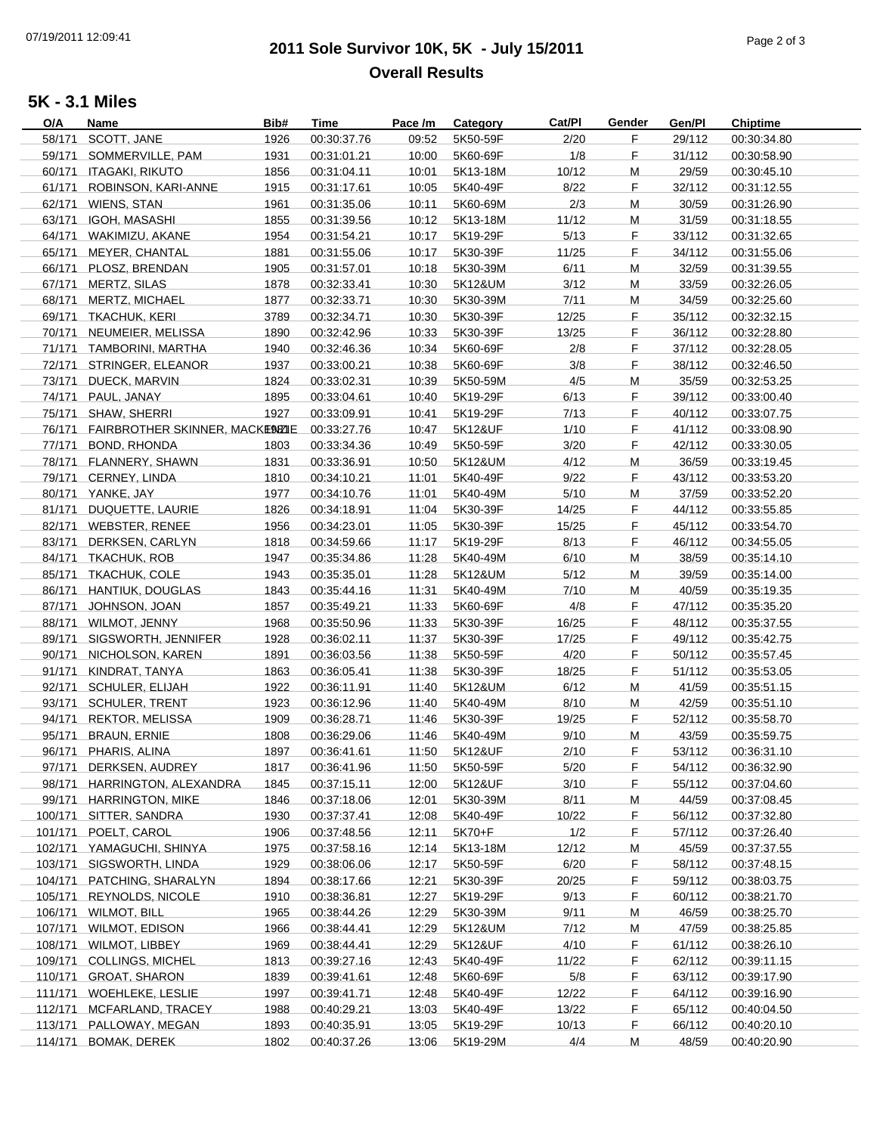# **2011 Sole Survivor 10K, 5K - July 15/2011** 07/19/2011 12:09:41 Page 2 of 3 **Overall Results**

### **5K - 3.1 Miles**

| O/A     | Name                                   | Bib# | <b>Time</b> | Pace /m | Category | Cat/Pl | Gender | Gen/Pl | <b>Chiptime</b> |
|---------|----------------------------------------|------|-------------|---------|----------|--------|--------|--------|-----------------|
| 58/171  | SCOTT, JANE                            | 1926 | 00:30:37.76 | 09:52   | 5K50-59F | 2/20   | F      | 29/112 | 00:30:34.80     |
| 59/171  | SOMMERVILLE, PAM                       | 1931 | 00:31:01.21 | 10:00   | 5K60-69F | 1/8    | F      | 31/112 | 00:30:58.90     |
|         | 60/171 ITAGAKI, RIKUTO                 | 1856 | 00:31:04.11 | 10:01   | 5K13-18M | 10/12  | M      | 29/59  | 00:30:45.10     |
| 61/171  | ROBINSON, KARI-ANNE                    | 1915 | 00:31:17.61 | 10:05   | 5K40-49F | 8/22   | F.     | 32/112 | 00:31:12.55     |
|         | 62/171 WIENS, STAN                     | 1961 | 00:31:35.06 | 10:11   | 5K60-69M | 2/3    | M      | 30/59  | 00:31:26.90     |
|         | 63/171 IGOH, MASASHI                   | 1855 | 00:31:39.56 | 10:12   | 5K13-18M | 11/12  | M      | 31/59  | 00:31:18.55     |
|         | 64/171 WAKIMIZU, AKANE                 | 1954 | 00:31:54.21 | 10:17   | 5K19-29F | 5/13   | F      | 33/112 | 00:31:32.65     |
|         |                                        |      |             |         |          |        | F      |        |                 |
| 65/171  | MEYER, CHANTAL                         | 1881 | 00:31:55.06 | 10:17   | 5K30-39F | 11/25  |        | 34/112 | 00:31:55.06     |
| 66/171  | PLOSZ, BRENDAN                         | 1905 | 00:31:57.01 | 10:18   | 5K30-39M | 6/11   | M      | 32/59  | 00:31:39.55     |
|         | 67/171 MERTZ, SILAS                    | 1878 | 00:32:33.41 | 10:30   | 5K12&UM  | 3/12   | M      | 33/59  | 00:32:26.05     |
|         | 68/171 MERTZ, MICHAEL                  | 1877 | 00:32:33.71 | 10:30   | 5K30-39M | 7/11   | M      | 34/59  | 00:32:25.60     |
|         | 69/171 TKACHUK, KERI                   | 3789 | 00:32:34.71 | 10:30   | 5K30-39F | 12/25  | F.     | 35/112 | 00:32:32.15     |
|         | 70/171 NEUMEIER, MELISSA               | 1890 | 00:32:42.96 | 10:33   | 5K30-39F | 13/25  | F      | 36/112 | 00:32:28.80     |
|         | 71/171 TAMBORINI, MARTHA               | 1940 | 00:32:46.36 | 10:34   | 5K60-69F | 2/8    | F.     | 37/112 | 00:32:28.05     |
|         | 72/171 STRINGER, ELEANOR               | 1937 | 00:33:00.21 | 10:38   | 5K60-69F | 3/8    | F      | 38/112 | 00:32:46.50     |
| 73/171  | DUECK, MARVIN                          | 1824 | 00:33:02.31 | 10:39   | 5K50-59M | 4/5    | M      | 35/59  | 00:32:53.25     |
| 74/171  | PAUL, JANAY                            | 1895 | 00:33:04.61 | 10:40   | 5K19-29F | 6/13   | F.     | 39/112 | 00:33:00.40     |
|         | 75/171 SHAW, SHERRI                    | 1927 | 00:33:09.91 | 10:41   | 5K19-29F | 7/13   | F.     | 40/112 | 00:33:07.75     |
|         | 76/171 FAIRBROTHER SKINNER, MACKE9821E |      | 00:33:27.76 | 10:47   | 5K12&UF  | 1/10   | F.     | 41/112 | 00:33:08.90     |
| 77/171  | <b>BOND, RHONDA</b>                    | 1803 | 00:33:34.36 | 10:49   | 5K50-59F | 3/20   | F      | 42/112 | 00:33:30.05     |
|         | 78/171 FLANNERY, SHAWN                 | 1831 | 00:33:36.91 | 10:50   | 5K12&UM  | 4/12   | M      | 36/59  | 00:33:19.45     |
|         | 79/171 CERNEY, LINDA                   | 1810 | 00:34:10.21 | 11:01   | 5K40-49F | 9/22   | F.     | 43/112 | 00:33:53.20     |
|         | 80/171 YANKE, JAY                      | 1977 | 00:34:10.76 | 11:01   | 5K40-49M | 5/10   | M      | 37/59  | 00:33:52.20     |
| 81/171  | DUQUETTE, LAURIE                       | 1826 | 00:34:18.91 | 11:04   | 5K30-39F | 14/25  | F.     | 44/112 | 00:33:55.85     |
|         |                                        |      |             |         |          |        |        |        |                 |
|         | 82/171 WEBSTER, RENEE                  | 1956 | 00:34:23.01 | 11:05   | 5K30-39F | 15/25  | F.     | 45/112 | 00:33:54.70     |
|         | 83/171 DERKSEN, CARLYN                 | 1818 | 00:34:59.66 | 11:17   | 5K19-29F | 8/13   | F.     | 46/112 | 00:34:55.05     |
|         | 84/171 TKACHUK, ROB                    | 1947 | 00:35:34.86 | 11:28   | 5K40-49M | 6/10   | M      | 38/59  | 00:35:14.10     |
|         | 85/171 TKACHUK, COLE                   | 1943 | 00:35:35.01 | 11:28   | 5K12&UM  | 5/12   | M      | 39/59  | 00:35:14.00     |
|         | 86/171 HANTIUK, DOUGLAS                | 1843 | 00:35:44.16 | 11:31   | 5K40-49M | 7/10   | M      | 40/59  | 00:35:19.35     |
|         | 87/171 JOHNSON, JOAN                   | 1857 | 00:35:49.21 | 11:33   | 5K60-69F | 4/8    | F.     | 47/112 | 00:35:35.20     |
|         | 88/171 WILMOT, JENNY                   | 1968 | 00:35:50.96 | 11:33   | 5K30-39F | 16/25  | F      | 48/112 | 00:35:37.55     |
| 89/171  | SIGSWORTH, JENNIFER                    | 1928 | 00:36:02.11 | 11:37   | 5K30-39F | 17/25  | F.     | 49/112 | 00:35:42.75     |
| 90/171  | NICHOLSON, KAREN                       | 1891 | 00:36:03.56 | 11:38   | 5K50-59F | 4/20   | F      | 50/112 | 00:35:57.45     |
|         | 91/171 KINDRAT, TANYA                  | 1863 | 00:36:05.41 | 11:38   | 5K30-39F | 18/25  | F.     | 51/112 | 00:35:53.05     |
|         | 92/171 SCHULER, ELIJAH                 | 1922 | 00:36:11.91 | 11:40   | 5K12&UM  | 6/12   | M      | 41/59  | 00:35:51.15     |
| 93/171  | <b>SCHULER, TRENT</b>                  | 1923 | 00:36:12.96 | 11:40   | 5K40-49M | 8/10   | M      | 42/59  | 00:35:51.10     |
| 94/171  | <b>REKTOR, MELISSA</b>                 | 1909 | 00:36:28.71 | 11:46   | 5K30-39F | 19/25  | F      | 52/112 | 00:35:58.70     |
| 95/171  | <b>BRAUN, ERNIE</b>                    | 1808 | 00:36:29.06 | 11:46   | 5K40-49M | 9/10   | M      | 43/59  | 00:35:59.75     |
|         | 96/171 PHARIS, ALINA                   | 1897 | 00:36:41.61 | 11:50   | 5K12&UF  | 2/10   | F.     | 53/112 | 00:36:31.10     |
| 97/171  | DERKSEN, AUDREY                        | 1817 | 00:36:41.96 | 11:50   | 5K50-59F | 5/20   | F      | 54/112 | 00:36:32.90     |
| 98/171  | HARRINGTON, ALEXANDRA                  | 1845 | 00:37:15.11 | 12:00   | 5K12&UF  | 3/10   | F      | 55/112 | 00:37:04.60     |
|         | 99/171 HARRINGTON, MIKE                | 1846 | 00:37:18.06 | 12:01   | 5K30-39M | 8/11   | M      | 44/59  | 00:37:08.45     |
|         | 100/171 SITTER, SANDRA                 | 1930 | 00:37:37.41 | 12:08   | 5K40-49F | 10/22  | F.     | 56/112 | 00:37:32.80     |
|         |                                        |      |             |         |          | 1/2    |        | 57/112 | 00:37:26.40     |
|         | 101/171 POELT, CAROL                   | 1906 | 00:37:48.56 | 12:11   | 5K70+F   |        | F.     |        |                 |
|         | 102/171 YAMAGUCHI, SHINYA              | 1975 | 00:37:58.16 | 12:14   | 5K13-18M | 12/12  | M      | 45/59  | 00:37:37.55     |
|         | 103/171 SIGSWORTH, LINDA               | 1929 | 00:38:06.06 | 12:17   | 5K50-59F | 6/20   | F.     | 58/112 | 00:37:48.15     |
|         | 104/171 PATCHING, SHARALYN             | 1894 | 00:38:17.66 | 12:21   | 5K30-39F | 20/25  | F      | 59/112 | 00:38:03.75     |
| 105/171 | <b>REYNOLDS, NICOLE</b>                | 1910 | 00:38:36.81 | 12:27   | 5K19-29F | 9/13   | F.     | 60/112 | 00:38:21.70     |
|         | 106/171 WILMOT, BILL                   | 1965 | 00:38:44.26 | 12:29   | 5K30-39M | 9/11   | M      | 46/59  | 00:38:25.70     |
|         | 107/171 WILMOT, EDISON                 | 1966 | 00:38:44.41 | 12:29   | 5K12&UM  | 7/12   | M      | 47/59  | 00:38:25.85     |
|         | 108/171 WILMOT, LIBBEY                 | 1969 | 00:38:44.41 | 12:29   | 5K12&UF  | 4/10   | F.     | 61/112 | 00:38:26.10     |
| 109/171 | <b>COLLINGS, MICHEL</b>                | 1813 | 00:39:27.16 | 12:43   | 5K40-49F | 11/22  | F      | 62/112 | 00:39:11.15     |
|         | 110/171 GROAT, SHARON                  | 1839 | 00:39:41.61 | 12:48   | 5K60-69F | 5/8    | F      | 63/112 | 00:39:17.90     |
|         | 111/171 WOEHLEKE, LESLIE               | 1997 | 00:39:41.71 | 12:48   | 5K40-49F | 12/22  | F      | 64/112 | 00:39:16.90     |
|         | 112/171 MCFARLAND, TRACEY              | 1988 | 00:40:29.21 | 13:03   | 5K40-49F | 13/22  | F.     | 65/112 | 00:40:04.50     |
| 113/171 | PALLOWAY, MEGAN                        | 1893 | 00:40:35.91 | 13:05   | 5K19-29F | 10/13  | F.     | 66/112 | 00:40:20.10     |
| 114/171 | <b>BOMAK, DEREK</b>                    | 1802 | 00:40:37.26 | 13:06   | 5K19-29M | 4/4    | M      | 48/59  | 00:40:20.90     |
|         |                                        |      |             |         |          |        |        |        |                 |